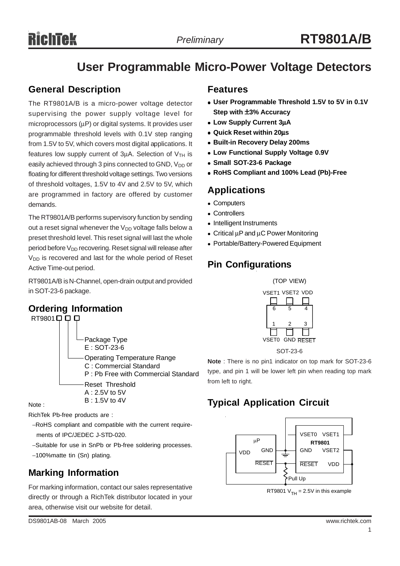# **User Programmable Micro-Power Voltage Detectors**

#### **General Description**

The RT9801A/B is a micro-power voltage detector supervising the power supply voltage level for microprocessors ( $\mu$ P) or digital systems. It provides user programmable threshold levels with 0.1V step ranging from 1.5V to 5V, which covers most digital applications. It features low supply current of  $3\mu$ A. Selection of  $V$ <sub>TH</sub> is easily achieved through 3 pins connected to GND, V<sub>DD</sub> or floating for different threshold voltage settings. Two versions of threshold voltages, 1.5V to 4V and 2.5V to 5V, which are programmed in factory are offered by customer demands.

The RT9801A/B performs supervisory function by sending out a reset signal whenever the  $V_{DD}$  voltage falls below a preset threshold level. This reset signal will last the whole period before  $V_{DD}$  recovering. Reset signal will release after V<sub>DD</sub> is recovered and last for the whole period of Reset Active Time-out period.

RT9801A/B is N-Channel, open-drain output and provided in SOT-23-6 package.

#### **Ordering Information**



Note :

RichTek Pb-free products are :

- −RoHS compliant and compatible with the current require ments of IPC/JEDEC J-STD-020.
- −Suitable for use in SnPb or Pb-free soldering processes.
- −100%matte tin (Sn) plating.

### **Marking Information**

For marking information, contact our sales representative directly or through a RichTek distributor located in your area, otherwise visit our website for detail.

- User Programmable Threshold 1.5V to 5V in 0.1V **Step with** ±**3% Accuracy**
- <sup>z</sup> **Low Supply Current 3**µ**A**
- <sup>z</sup> **Quick Reset within 20**µ**s**
- **Built-in Recovery Delay 200ms**
- **Low Functional Supply Voltage 0.9V**
- **Small SOT-23-6 Package**
- <sup>z</sup> **RoHS Compliant and 100% Lead (Pb)-Free**

### **Applications**

- Computers
- Controllers
- Intelligent Instruments
- Critical  $\mu$ P and  $\mu$ C Power Monitoring
- Portable/Battery-Powered Equipment

## **Pin Configurations**



**Note** : There is no pin1 indicator on top mark for SOT-23-6 type, and pin 1 will be lower left pin when reading top mark from left to right.

# **Typical Application Circuit**



RT9801  $V<sub>TH</sub> = 2.5V$  in this example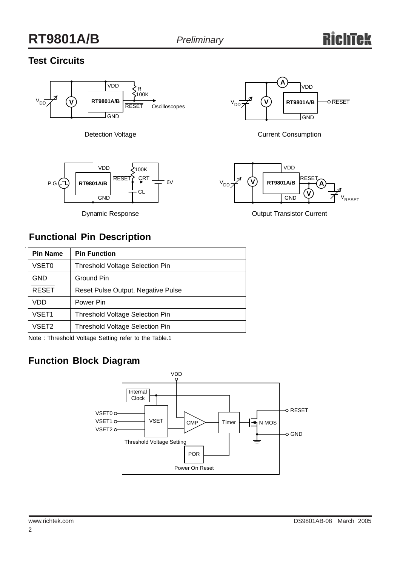# **RT9801A/B** *Preliminary*

### **Test Circuits**



Detection Voltage



Dynamic Response



Current Consumption



Output Transistor Current

### **Functional Pin Description**

| <b>Pin Name</b> | <b>Pin Function</b>                    |  |  |
|-----------------|----------------------------------------|--|--|
| VSET0           | <b>Threshold Voltage Selection Pin</b> |  |  |
| GND             | Ground Pin                             |  |  |
| <b>RESET</b>    | Reset Pulse Output, Negative Pulse     |  |  |
| VDD             | Power Pin                              |  |  |
| VSET1           | <b>Threshold Voltage Selection Pin</b> |  |  |
| VSET2           | <b>Threshold Voltage Selection Pin</b> |  |  |

Note : Threshold Voltage Setting refer to the Table.1

## **Function Block Diagram**

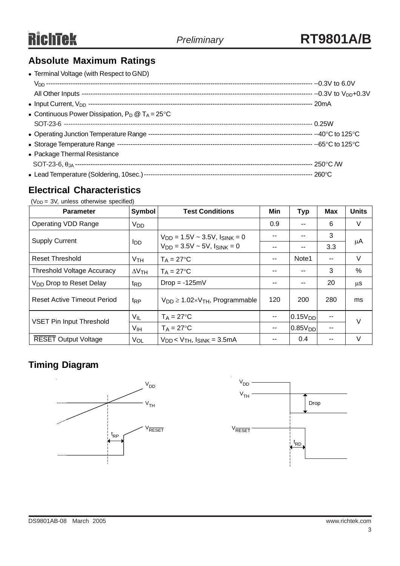## **Absolute Maximum Ratings**

| • Terminal Voltage (with Respect to GND)                  |  |
|-----------------------------------------------------------|--|
|                                                           |  |
|                                                           |  |
|                                                           |  |
| • Continuous Power Dissipation, $P_D @ T_A = 25^{\circ}C$ |  |
|                                                           |  |
|                                                           |  |
|                                                           |  |
| • Package Thermal Resistance                              |  |
|                                                           |  |
|                                                           |  |

#### **Electrical Characteristics**

 $(V_{DD} = 3V$ , unless otherwise specified)

| <b>Parameter</b>                    | Symbol          | <b>Test Conditions</b>                          | Min                      | <b>Typ</b>          | Max | <b>Units</b> |
|-------------------------------------|-----------------|-------------------------------------------------|--------------------------|---------------------|-----|--------------|
| <b>Operating VDD Range</b>          | V <sub>DD</sub> |                                                 | 0.9                      |                     | 6   | V            |
| <b>Supply Current</b>               | l <sub>DD</sub> | $V_{DD} = 1.5V \sim 3.5V$ , $I_{SINK} = 0$      | --                       |                     | 3   |              |
|                                     |                 | $V_{DD} = 3.5V - 5V$ , $I_{SINK} = 0$           | $- -$                    |                     | 3.3 | μA           |
| <b>Reset Threshold</b>              | V <sub>TH</sub> | $T_A = 27$ °C                                   | $-$                      | Note1               | $-$ | V            |
| <b>Threshold Voltage Accuracy</b>   | $\Delta V$ TH   | $T_A = 27$ °C                                   | --                       | --                  | 3   | $\%$         |
| V <sub>DD</sub> Drop to Reset Delay | <sup>t</sup> RD | $Drop = -125mV$                                 | --                       | $\sim$              | 20  | $\mu$ S      |
| <b>Reset Active Timeout Period</b>  | t <sub>RP</sub> | $V_{DD} \geq 1.02 \times V_{TH}$ , Programmable | 120                      | 200                 | 280 | ms           |
| <b>VSET Pin Input Threshold</b>     | $V_{IL}$        | $T_A = 27$ °C                                   | --                       | 0.15V <sub>DD</sub> |     | V            |
|                                     | V <sub>IH</sub> | $T_A = 27$ °C                                   | $\overline{\phantom{m}}$ | 0.85V <sub>DD</sub> | --  |              |
| <b>RESET Output Voltage</b>         | VOL             | $V_{DD}$ < $V_{TH}$ , $I_{SINK}$ = 3.5mA        | --                       | 0.4                 |     | V            |

### **Timing Diagram**



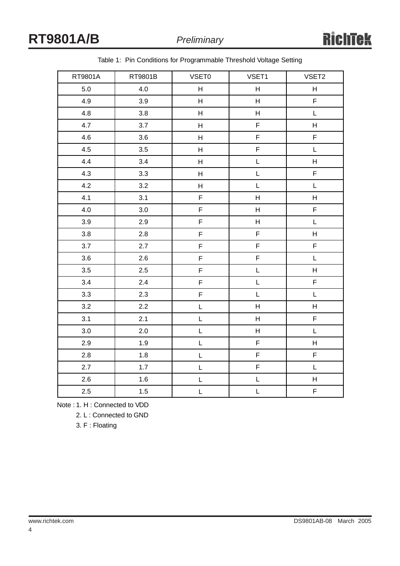| RT9801A | RT9801B | VSET0                                          | VSET1       | VSET2                     |
|---------|---------|------------------------------------------------|-------------|---------------------------|
| 5.0     | 4.0     | H                                              | H           | H                         |
| 4.9     | 3.9     | H                                              | H           | F                         |
| 4.8     | 3.8     | $\mathsf H$                                    | H           | $\mathsf L$               |
| 4.7     | 3.7     | $\mathsf{H}$                                   | F           | $\boldsymbol{\mathsf{H}}$ |
| 4.6     | 3.6     | H                                              | F           | F                         |
| 4.5     | 3.5     | $\mathsf H$                                    | F           | $\mathsf L$               |
| 4.4     | 3.4     | H                                              | L           | $\boldsymbol{\mathsf{H}}$ |
| 4.3     | 3.3     | H                                              | L           | $\mathsf F$               |
| 4.2     | 3.2     | H                                              | L           | $\mathsf L$               |
| 4.1     | 3.1     | $\mathsf F$                                    | Н           | $\mathsf H$               |
| 4.0     | 3.0     | $\mathsf F$                                    | H           | $\mathsf F$               |
| 3.9     | 2.9     | $\mathsf F$                                    | H           | $\mathsf L$               |
| 3.8     | 2.8     | $\mathsf F$                                    | $\mathsf F$ | H                         |
| 3.7     | 2.7     | $\mathsf F$                                    | F           | F                         |
| 3.6     | 2.6     | $\mathsf F$                                    | F           | L                         |
| 3.5     | 2.5     | F                                              | L           | H                         |
| 3.4     | 2.4     | F                                              | L           | F                         |
| 3.3     | 2.3     | $\mathsf F$                                    | $\mathsf L$ | $\mathsf L$               |
| 3.2     | 2.2     | $\mathsf{L}% _{0}\left( \mathsf{L}_{1}\right)$ | H           | $\mathsf H$               |
| 3.1     | 2.1     | L                                              | H           | $\mathsf F$               |
| $3.0\,$ | 2.0     | L                                              | H           | $\mathsf L$               |
| 2.9     | 1.9     | L                                              | F           | H                         |
| 2.8     | 1.8     | L                                              | F           | F                         |
| 2.7     | 1.7     | L                                              | F           | $\mathsf L$               |
| 2.6     | 1.6     | L                                              | L           | H                         |
| $2.5\,$ | 1.5     | L                                              | L           | F                         |

Table 1: Pin Conditions for Programmable Threshold Voltage Setting

Note : 1. H : Connected to VDD

2. L : Connected to GND

3. F : Floating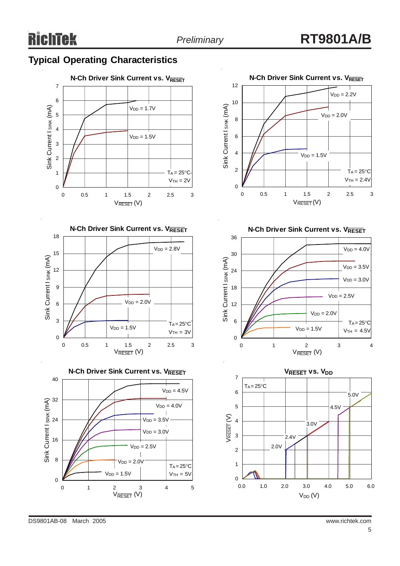#### **Typical Operating Characteristics**





**N-Ch Driver Sink Current vs. VRESET** 40  $V<sub>DD</sub> = 4.5V$ 32 Sink Current I SINK (mA)  $V_{DD} = 4.0V$  $V_{DD} = 3.5V$ 24  $V<sub>DD</sub> = 3.0V$ 16  $V_{DD} = 2.5V$  $\overline{\phantom{a}}$ 8  $V<sub>DD</sub> = 2.0V$  $T_A = 25^{\circ}C$  $V<sub>DD</sub> = 1.5V$  $V<sub>TH</sub> = 5V$ 0 012345 V<sub>RESET</sub> (V)



**N-Ch Driver Sink Current vs. VRESET** 





DS9801AB-08 March 2005 www.richtek.com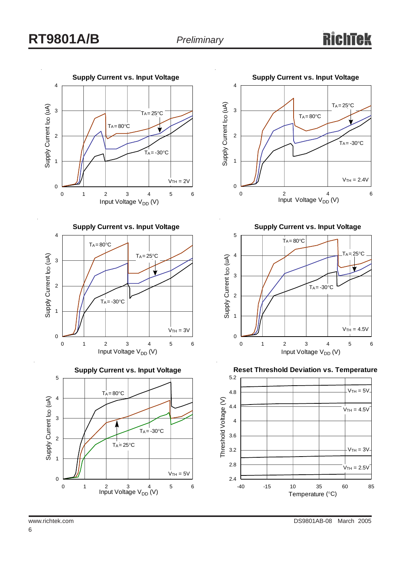









**Supply Current vs. Input Voltage**



**Reset Threshold Deviation vs. Temperature**

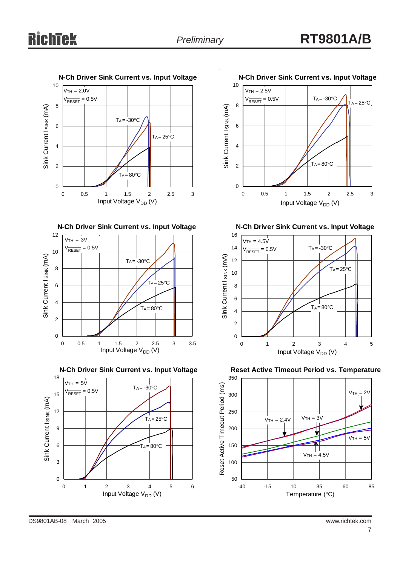











**N-Ch Driver Sink Current vs. Input Voltage**



**Reset Active Timeout Period vs. Temperature**

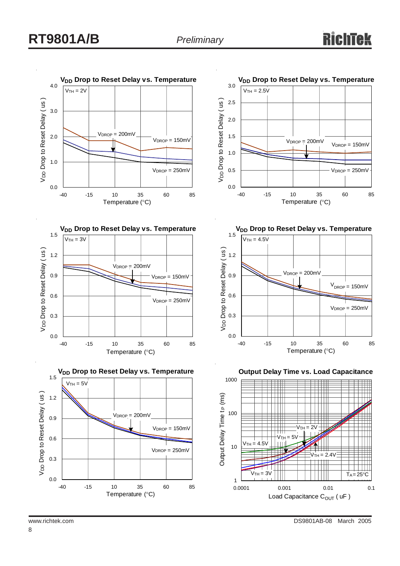









**Output Delay Time vs. Load Capacitance**



8